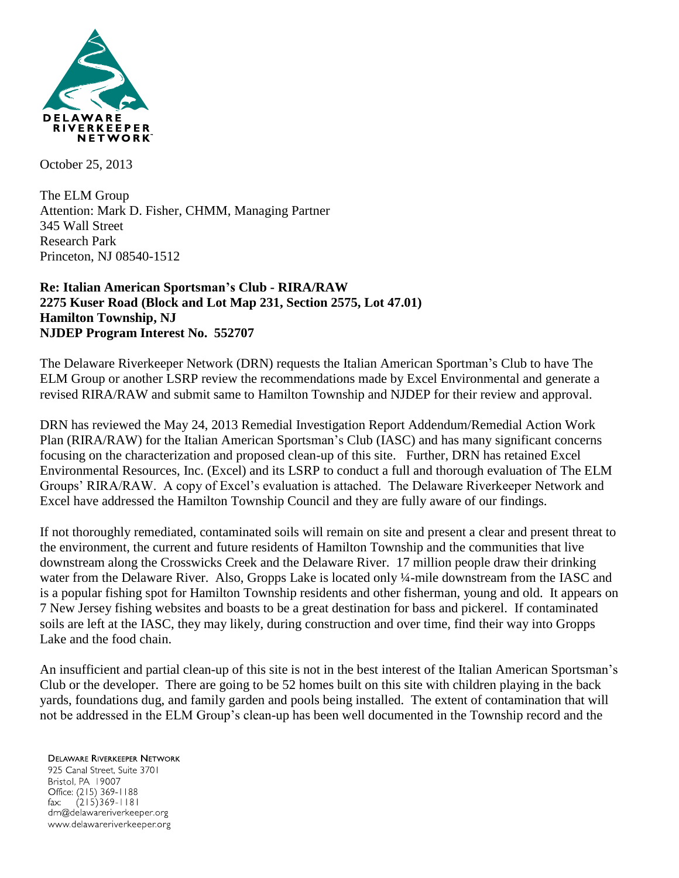

October 25, 2013

The ELM Group Attention: Mark D. Fisher, CHMM, Managing Partner 345 Wall Street Research Park Princeton, NJ 08540-1512

## **Re: Italian American Sportsman's Club - RIRA/RAW 2275 Kuser Road (Block and Lot Map 231, Section 2575, Lot 47.01) Hamilton Township, NJ NJDEP Program Interest No. 552707**

The Delaware Riverkeeper Network (DRN) requests the Italian American Sportman's Club to have The ELM Group or another LSRP review the recommendations made by Excel Environmental and generate a revised RIRA/RAW and submit same to Hamilton Township and NJDEP for their review and approval.

DRN has reviewed the May 24, 2013 Remedial Investigation Report Addendum/Remedial Action Work Plan (RIRA/RAW) for the Italian American Sportsman's Club (IASC) and has many significant concerns focusing on the characterization and proposed clean-up of this site. Further, DRN has retained Excel Environmental Resources, Inc. (Excel) and its LSRP to conduct a full and thorough evaluation of The ELM Groups' RIRA/RAW. A copy of Excel's evaluation is attached. The Delaware Riverkeeper Network and Excel have addressed the Hamilton Township Council and they are fully aware of our findings.

If not thoroughly remediated, contaminated soils will remain on site and present a clear and present threat to the environment, the current and future residents of Hamilton Township and the communities that live downstream along the Crosswicks Creek and the Delaware River. 17 million people draw their drinking water from the Delaware River. Also, Gropps Lake is located only ¼-mile downstream from the IASC and is a popular fishing spot for Hamilton Township residents and other fisherman, young and old. It appears on 7 New Jersey fishing websites and boasts to be a great destination for bass and pickerel. If contaminated soils are left at the IASC, they may likely, during construction and over time, find their way into Gropps Lake and the food chain.

An insufficient and partial clean-up of this site is not in the best interest of the Italian American Sportsman's Club or the developer. There are going to be 52 homes built on this site with children playing in the back yards, foundations dug, and family garden and pools being installed. The extent of contamination that will not be addressed in the ELM Group's clean-up has been well documented in the Township record and the

## **DELAWARE RIVERKEEPER NETWORK** 925 Canal Street, Suite 3701 Bristol, PA 19007 Office: (215) 369-1188  $(215)369 - 1181$  $\mathsf{fax:}$ drn@delawareriverkeeper.org

www.delawareriverkeeper.org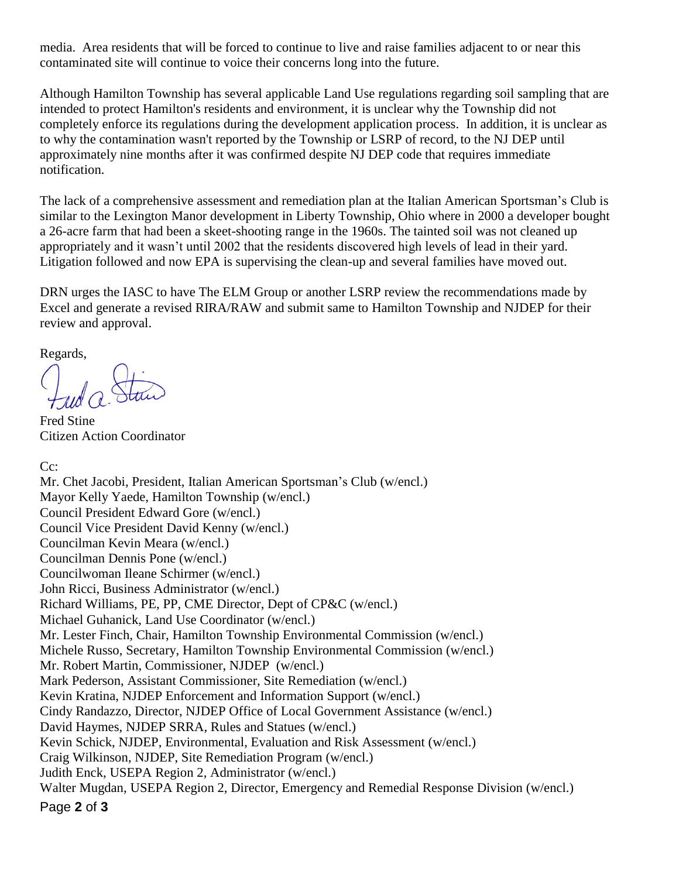media. Area residents that will be forced to continue to live and raise families adjacent to or near this contaminated site will continue to voice their concerns long into the future.

Although Hamilton Township has several applicable Land Use regulations regarding soil sampling that are intended to protect Hamilton's residents and environment, it is unclear why the Township did not completely enforce its regulations during the development application process. In addition, it is unclear as to why the contamination wasn't reported by the Township or LSRP of record, to the NJ DEP until approximately nine months after it was confirmed despite NJ DEP code that requires immediate notification.

The lack of a comprehensive assessment and remediation plan at the Italian American Sportsman's Club is similar to the Lexington Manor development in Liberty Township, Ohio where in 2000 a developer bought a 26-acre farm that had been a skeet-shooting range in the 1960s. The tainted soil was not cleaned up appropriately and it wasn't until 2002 that the residents discovered high levels of lead in their yard. Litigation followed and now EPA is supervising the clean-up and several families have moved out.

DRN urges the IASC to have The ELM Group or another LSRP review the recommendations made by Excel and generate a revised RIRA/RAW and submit same to Hamilton Township and NJDEP for their review and approval.

Regards,

Fred Stine Citizen Action Coordinator

C<sub>c</sub>:

Page **2** of **3** Mr. Chet Jacobi, President, Italian American Sportsman's Club (w/encl.) Mayor Kelly Yaede, Hamilton Township (w/encl.) Council President Edward Gore (w/encl.) Council Vice President David Kenny (w/encl.) Councilman Kevin Meara (w/encl.) Councilman Dennis Pone (w/encl.) Councilwoman Ileane Schirmer (w/encl.) John Ricci, Business Administrator (w/encl.) Richard Williams, PE, PP, CME Director, Dept of CP&C (w/encl.) Michael Guhanick, Land Use Coordinator (w/encl.) Mr. Lester Finch, Chair, Hamilton Township Environmental Commission (w/encl.) Michele Russo, Secretary, Hamilton Township Environmental Commission (w/encl.) Mr. Robert Martin, Commissioner, NJDEP (w/encl.) Mark Pederson, Assistant Commissioner, Site Remediation (w/encl.) Kevin Kratina, NJDEP Enforcement and Information Support (w/encl.) Cindy Randazzo, Director, NJDEP Office of Local Government Assistance (w/encl.) David Haymes, NJDEP SRRA, Rules and Statues (w/encl.) Kevin Schick, NJDEP, Environmental, Evaluation and Risk Assessment (w/encl.) Craig Wilkinson, NJDEP, Site Remediation Program (w/encl.) Judith Enck, USEPA Region 2, Administrator (w/encl.) Walter Mugdan, USEPA Region 2, Director, Emergency and Remedial Response Division (w/encl.)